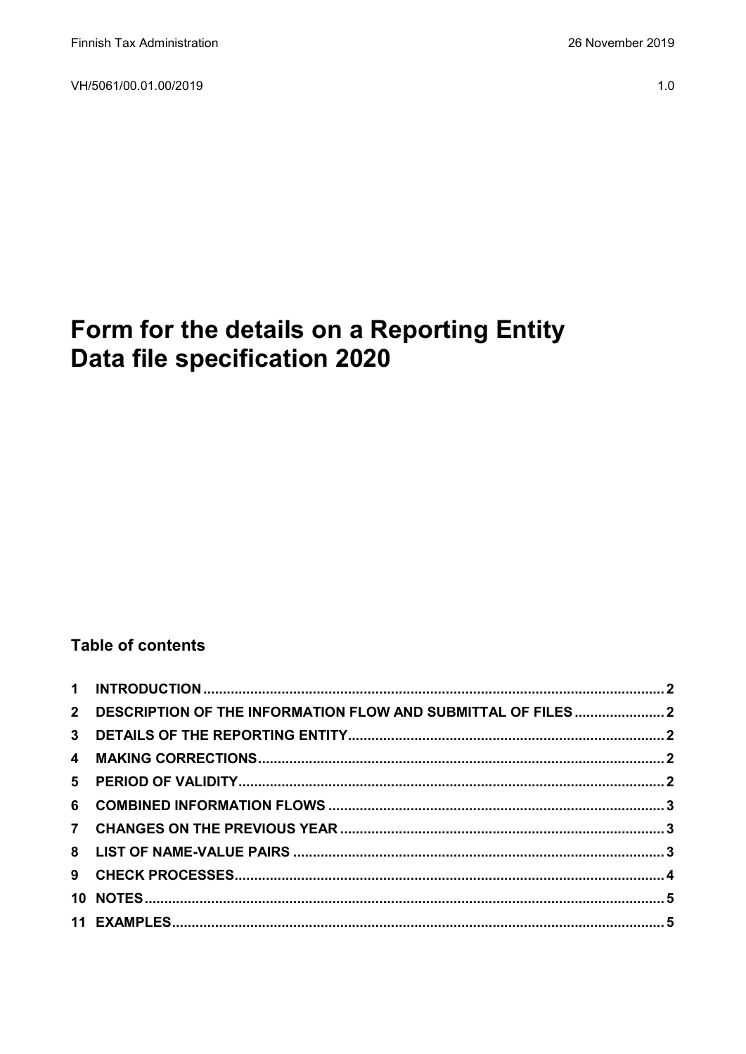VH/5061/00.01.00/2019

# Form for the details on a Reporting Entity Data file specification 2020

# **Table of contents**

| 2 DESCRIPTION OF THE INFORMATION FLOW AND SUBMITTAL OF FILES2 |  |
|---------------------------------------------------------------|--|
|                                                               |  |
|                                                               |  |
|                                                               |  |
|                                                               |  |
|                                                               |  |
|                                                               |  |
|                                                               |  |
|                                                               |  |
|                                                               |  |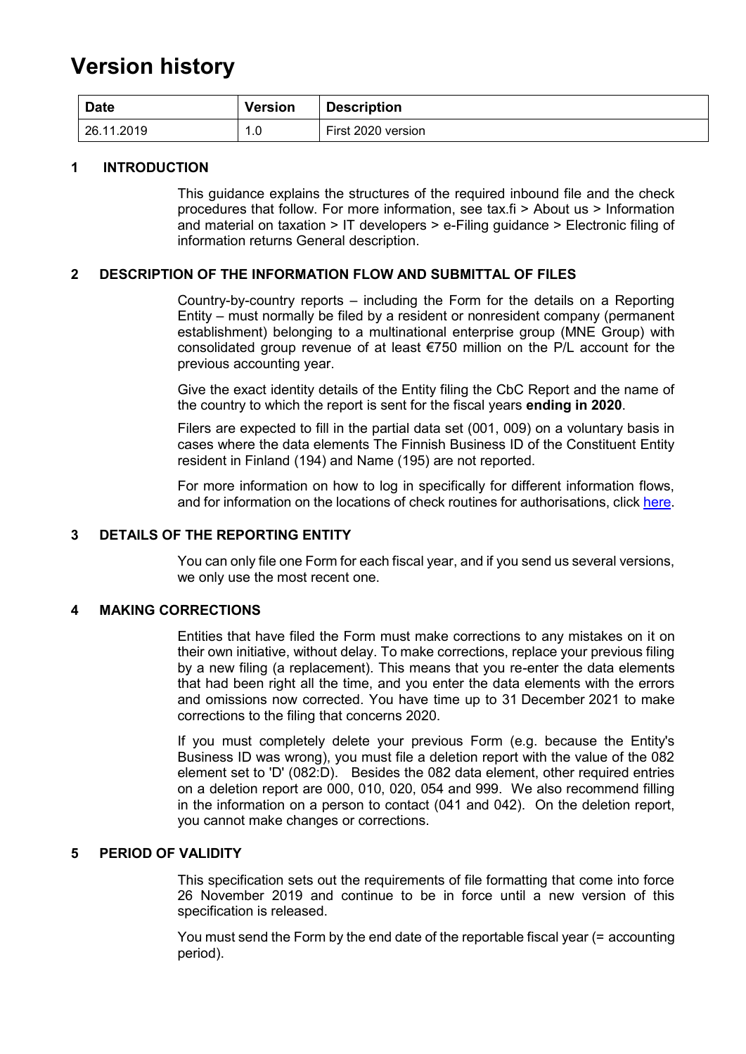# **Version history**

| <b>Date</b> | <b>Version</b> | <b>Description</b> |
|-------------|----------------|--------------------|
| 26.11.2019  | 0.،            | First 2020 version |

#### <span id="page-1-0"></span>**1 INTRODUCTION**

This guidance explains the structures of the required inbound file and the check procedures that follow. For more information, see tax.fi > About us > Information and material on taxation > IT developers > e-Filing guidance > Electronic filing of information returns General description.

#### <span id="page-1-1"></span>**2 DESCRIPTION OF THE INFORMATION FLOW AND SUBMITTAL OF FILES**

Country-by-country reports – including the Form for the details on a Reporting Entity – must normally be filed by a resident or nonresident company (permanent establishment) belonging to a multinational enterprise group (MNE Group) with consolidated group revenue of at least €750 million on the P/L account for the previous accounting year.

Give the exact identity details of the Entity filing the CbC Report and the name of the country to which the report is sent for the fiscal years **ending in 2020**.

Filers are expected to fill in the partial data set (001, 009) on a voluntary basis in cases where the data elements The Finnish Business ID of the Constituent Entity resident in Finland (194) and Name (195) are not reported.

For more information on how to log in specifically for different information flows, and for information on the locations of check routines for authorisations, click [here.](https://www.ilmoitin.fi/webtamo/sivut/IlmoituslajiRoolit?kieli=en&tv=CBCSEL)

#### <span id="page-1-2"></span>**3 DETAILS OF THE REPORTING ENTITY**

You can only file one Form for each fiscal year, and if you send us several versions, we only use the most recent one.

#### <span id="page-1-3"></span>**4 MAKING CORRECTIONS**

Entities that have filed the Form must make corrections to any mistakes on it on their own initiative, without delay. To make corrections, replace your previous filing by a new filing (a replacement). This means that you re-enter the data elements that had been right all the time, and you enter the data elements with the errors and omissions now corrected. You have time up to 31 December 2021 to make corrections to the filing that concerns 2020.

If you must completely delete your previous Form (e.g. because the Entity's Business ID was wrong), you must file a deletion report with the value of the 082 element set to 'D' (082:D). Besides the 082 data element, other required entries on a deletion report are 000, 010, 020, 054 and 999. We also recommend filling in the information on a person to contact (041 and 042). On the deletion report, you cannot make changes or corrections.

#### <span id="page-1-4"></span>**5 PERIOD OF VALIDITY**

This specification sets out the requirements of file formatting that come into force 26 November 2019 and continue to be in force until a new version of this specification is released.

You must send the Form by the end date of the reportable fiscal year (= accounting period).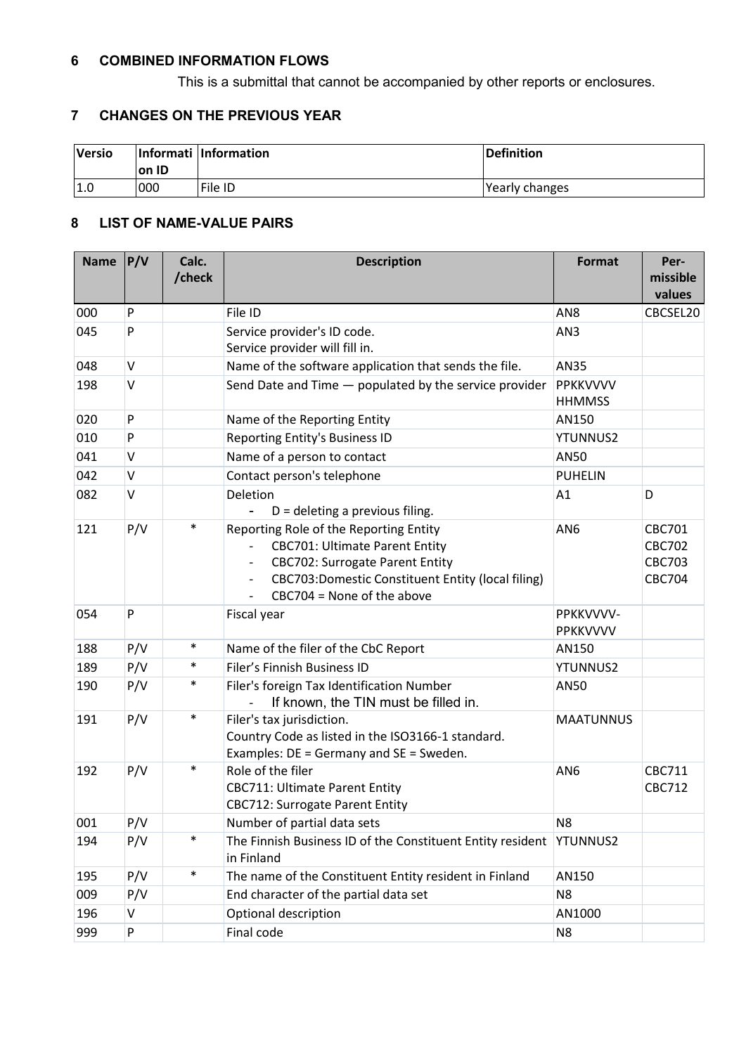## <span id="page-2-0"></span>**6 COMBINED INFORMATION FLOWS**

This is a submittal that cannot be accompanied by other reports or enclosures.

## <span id="page-2-1"></span>**7 CHANGES ON THE PREVIOUS YEAR**

<span id="page-2-2"></span>

| <b>Versio</b> | on ID | Informati Information | Definition     |
|---------------|-------|-----------------------|----------------|
| 1.0           | 000   | File ID               | Yearly changes |

#### **8 LIST OF NAME-VALUE PAIRS**

| <b>Name</b> | P/V | Calc.<br>/check | <b>Description</b>                                                                                                                                                                                                                                                                                 | <b>Format</b>                    | Per-<br>missible<br>values                                       |
|-------------|-----|-----------------|----------------------------------------------------------------------------------------------------------------------------------------------------------------------------------------------------------------------------------------------------------------------------------------------------|----------------------------------|------------------------------------------------------------------|
| 000         | P   |                 | File ID                                                                                                                                                                                                                                                                                            | AN8                              | CBCSEL20                                                         |
| 045         | P   |                 | Service provider's ID code.<br>Service provider will fill in.                                                                                                                                                                                                                                      | AN3                              |                                                                  |
| 048         | V   |                 | Name of the software application that sends the file.                                                                                                                                                                                                                                              | AN35                             |                                                                  |
| 198         | V   |                 | Send Date and Time - populated by the service provider                                                                                                                                                                                                                                             | <b>PPKKVVVV</b><br><b>HHMMSS</b> |                                                                  |
| 020         | P   |                 | Name of the Reporting Entity                                                                                                                                                                                                                                                                       | AN150                            |                                                                  |
| 010         | P   |                 | Reporting Entity's Business ID                                                                                                                                                                                                                                                                     | <b>YTUNNUS2</b>                  |                                                                  |
| 041         | V   |                 | Name of a person to contact                                                                                                                                                                                                                                                                        | AN50                             |                                                                  |
| 042         | V   |                 | Contact person's telephone                                                                                                                                                                                                                                                                         | <b>PUHELIN</b>                   |                                                                  |
| 082         | V   |                 | Deletion<br>$D =$ deleting a previous filing.                                                                                                                                                                                                                                                      | A1                               | D                                                                |
| 121         | P/V | $\ast$          | Reporting Role of the Reporting Entity<br><b>CBC701: Ultimate Parent Entity</b><br>$\overline{\phantom{a}}$<br><b>CBC702: Surrogate Parent Entity</b><br>$\overline{\phantom{a}}$<br>CBC703:Domestic Constituent Entity (local filing)<br>$\overline{\phantom{a}}$<br>$CBC704 = None of the above$ | AN <sub>6</sub>                  | <b>CBC701</b><br><b>CBC702</b><br><b>CBC703</b><br><b>CBC704</b> |
| 054         | P   |                 | Fiscal year                                                                                                                                                                                                                                                                                        | PPKKVVVV-<br><b>PPKKVVVV</b>     |                                                                  |
| 188         | P/V | $\ast$          | Name of the filer of the CbC Report                                                                                                                                                                                                                                                                | AN150                            |                                                                  |
| 189         | P/V | $\ast$          | Filer's Finnish Business ID                                                                                                                                                                                                                                                                        | <b>YTUNNUS2</b>                  |                                                                  |
| 190         | P/V | $\ast$          | Filer's foreign Tax Identification Number<br>If known, the TIN must be filled in.                                                                                                                                                                                                                  | AN50                             |                                                                  |
| 191         | P/V | $\ast$          | Filer's tax jurisdiction.<br>Country Code as listed in the ISO3166-1 standard.<br>Examples: DE = Germany and SE = Sweden.                                                                                                                                                                          | <b>MAATUNNUS</b>                 |                                                                  |
| 192         | P/V | $\ast$          | Role of the filer<br><b>CBC711: Ultimate Parent Entity</b><br><b>CBC712: Surrogate Parent Entity</b>                                                                                                                                                                                               | AN <sub>6</sub>                  | CBC711<br><b>CBC712</b>                                          |
| 001         | P/V |                 | Number of partial data sets                                                                                                                                                                                                                                                                        | N <sub>8</sub>                   |                                                                  |
| 194         | P/V | $\ast$          | The Finnish Business ID of the Constituent Entity resident<br>in Finland                                                                                                                                                                                                                           | <b>YTUNNUS2</b>                  |                                                                  |
| 195         | P/V | $\ast$          | The name of the Constituent Entity resident in Finland                                                                                                                                                                                                                                             | AN150                            |                                                                  |
| 009         | P/V |                 | End character of the partial data set                                                                                                                                                                                                                                                              | N <sub>8</sub>                   |                                                                  |
| 196         | V   |                 | Optional description                                                                                                                                                                                                                                                                               | AN1000                           |                                                                  |
| 999         | P   |                 | Final code                                                                                                                                                                                                                                                                                         | N <sub>8</sub>                   |                                                                  |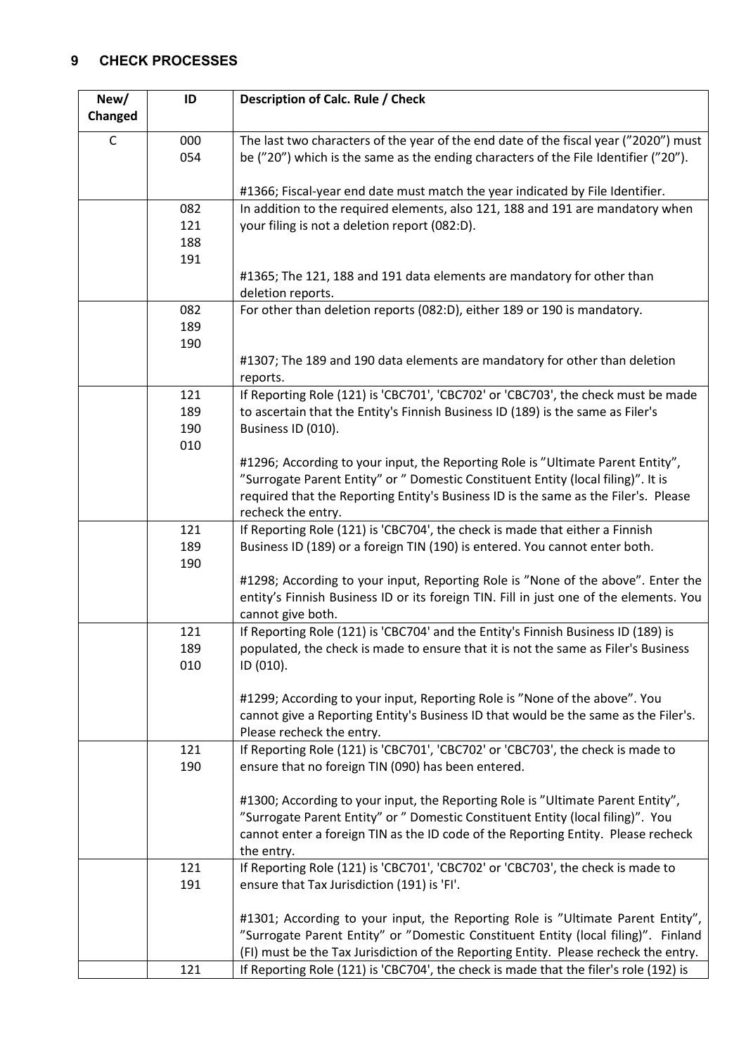## <span id="page-3-0"></span>**9 CHECK PROCESSES**

| New/        | ID                       | Description of Calc. Rule / Check                                                                                                                                                                                                                                                 |
|-------------|--------------------------|-----------------------------------------------------------------------------------------------------------------------------------------------------------------------------------------------------------------------------------------------------------------------------------|
| Changed     |                          |                                                                                                                                                                                                                                                                                   |
| $\mathsf C$ | 000<br>054               | The last two characters of the year of the end date of the fiscal year ("2020") must<br>be ("20") which is the same as the ending characters of the File Identifier ("20").                                                                                                       |
|             |                          | #1366; Fiscal-year end date must match the year indicated by File Identifier.                                                                                                                                                                                                     |
|             | 082<br>121<br>188<br>191 | In addition to the required elements, also 121, 188 and 191 are mandatory when<br>your filing is not a deletion report (082:D).                                                                                                                                                   |
|             |                          | #1365; The 121, 188 and 191 data elements are mandatory for other than<br>deletion reports.                                                                                                                                                                                       |
|             | 082<br>189<br>190        | For other than deletion reports (082:D), either 189 or 190 is mandatory.                                                                                                                                                                                                          |
|             |                          | #1307; The 189 and 190 data elements are mandatory for other than deletion<br>reports.                                                                                                                                                                                            |
|             | 121<br>189<br>190<br>010 | If Reporting Role (121) is 'CBC701', 'CBC702' or 'CBC703', the check must be made<br>to ascertain that the Entity's Finnish Business ID (189) is the same as Filer's<br>Business ID (010).                                                                                        |
|             |                          | #1296; According to your input, the Reporting Role is "Ultimate Parent Entity",<br>"Surrogate Parent Entity" or " Domestic Constituent Entity (local filing)". It is<br>required that the Reporting Entity's Business ID is the same as the Filer's. Please<br>recheck the entry. |
|             | 121<br>189<br>190        | If Reporting Role (121) is 'CBC704', the check is made that either a Finnish<br>Business ID (189) or a foreign TIN (190) is entered. You cannot enter both.                                                                                                                       |
|             |                          | #1298; According to your input, Reporting Role is "None of the above". Enter the<br>entity's Finnish Business ID or its foreign TIN. Fill in just one of the elements. You<br>cannot give both.                                                                                   |
|             | 121<br>189<br>010        | If Reporting Role (121) is 'CBC704' and the Entity's Finnish Business ID (189) is<br>populated, the check is made to ensure that it is not the same as Filer's Business<br>ID (010).                                                                                              |
|             |                          | #1299; According to your input, Reporting Role is "None of the above". You<br>cannot give a Reporting Entity's Business ID that would be the same as the Filer's.<br>Please recheck the entry.                                                                                    |
|             | 121<br>190               | If Reporting Role (121) is 'CBC701', 'CBC702' or 'CBC703', the check is made to<br>ensure that no foreign TIN (090) has been entered.                                                                                                                                             |
|             |                          | #1300; According to your input, the Reporting Role is "Ultimate Parent Entity",<br>"Surrogate Parent Entity" or " Domestic Constituent Entity (local filing)". You<br>cannot enter a foreign TIN as the ID code of the Reporting Entity. Please recheck<br>the entry.             |
|             | 121<br>191               | If Reporting Role (121) is 'CBC701', 'CBC702' or 'CBC703', the check is made to<br>ensure that Tax Jurisdiction (191) is 'FI'.                                                                                                                                                    |
|             |                          | #1301; According to your input, the Reporting Role is "Ultimate Parent Entity",<br>"Surrogate Parent Entity" or "Domestic Constituent Entity (local filing)". Finland<br>(FI) must be the Tax Jurisdiction of the Reporting Entity. Please recheck the entry.                     |
|             | 121                      | If Reporting Role (121) is 'CBC704', the check is made that the filer's role (192) is                                                                                                                                                                                             |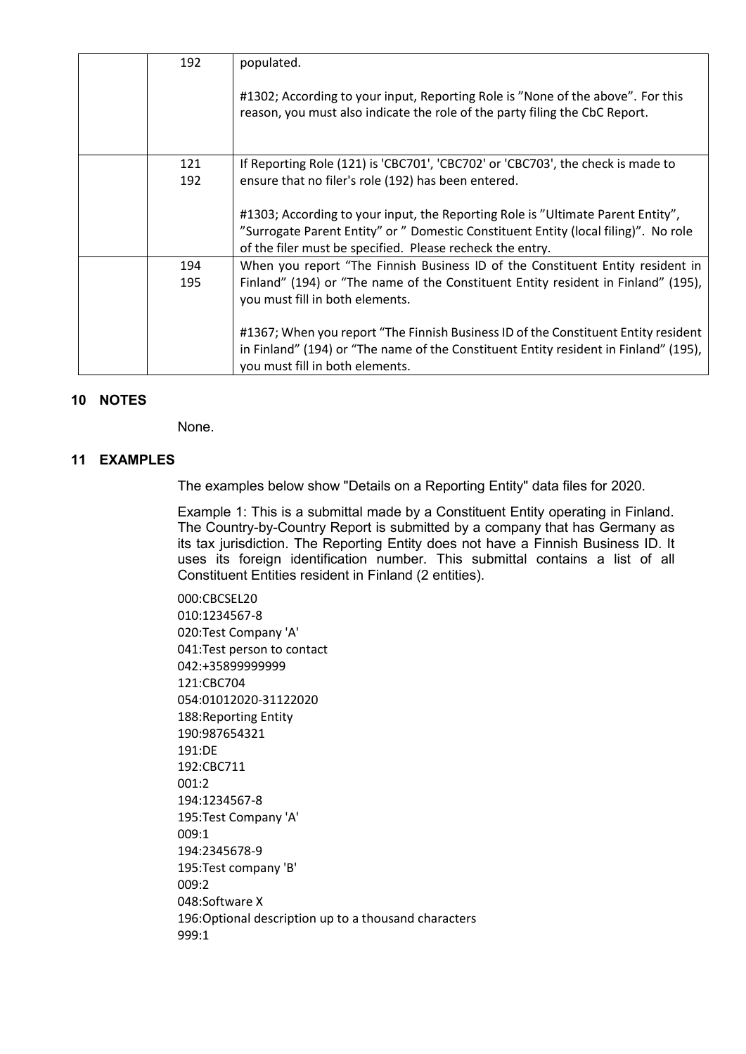| 192 | populated.                                                                                                                                                                                                                          |
|-----|-------------------------------------------------------------------------------------------------------------------------------------------------------------------------------------------------------------------------------------|
|     | #1302; According to your input, Reporting Role is "None of the above". For this<br>reason, you must also indicate the role of the party filing the CbC Report.                                                                      |
| 121 | If Reporting Role (121) is 'CBC701', 'CBC702' or 'CBC703', the check is made to                                                                                                                                                     |
| 192 | ensure that no filer's role (192) has been entered.                                                                                                                                                                                 |
|     | #1303; According to your input, the Reporting Role is "Ultimate Parent Entity",<br>"Surrogate Parent Entity" or " Domestic Constituent Entity (local filing)". No role<br>of the filer must be specified. Please recheck the entry. |
| 194 | When you report "The Finnish Business ID of the Constituent Entity resident in                                                                                                                                                      |
| 195 | Finland" (194) or "The name of the Constituent Entity resident in Finland" (195),<br>you must fill in both elements.                                                                                                                |
|     | #1367; When you report "The Finnish Business ID of the Constituent Entity resident<br>in Finland" (194) or "The name of the Constituent Entity resident in Finland" (195),<br>you must fill in both elements.                       |

### <span id="page-4-0"></span>**10 NOTES**

None.

### <span id="page-4-1"></span>**11 EXAMPLES**

The examples below show "Details on a Reporting Entity" data files for 2020.

Example 1: This is a submittal made by a Constituent Entity operating in Finland. The Country-by-Country Report is submitted by a company that has Germany as its tax jurisdiction. The Reporting Entity does not have a Finnish Business ID. It uses its foreign identification number. This submittal contains a list of all Constituent Entities resident in Finland (2 entities).

000:CBCSEL20 010:1234567-8 020:Test Company 'A' 041:Test person to contact 042:+35899999999 121:CBC704 054:01012020-31122020 188:Reporting Entity 190:987654321 191:DE 192:CBC711 001:2 194:1234567-8 195:Test Company 'A' 009:1 194:2345678-9 195:Test company 'B' 009:2 048:Software X 196:Optional description up to a thousand characters 999:1